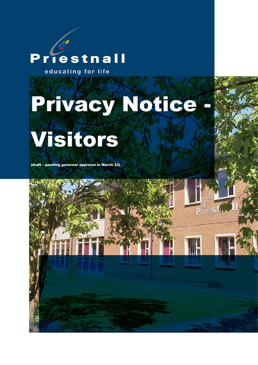# Priestnall

educating for life

# Private Mile Here Visitors

(draft – pending governor approval in March 22)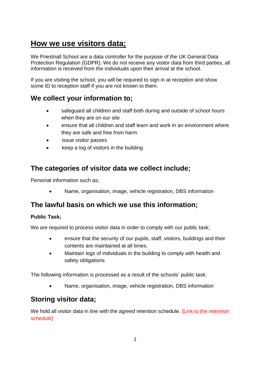# **How we use visitors data;**

We Priestnall School are a data controller for the purpose of the UK General Data Protection Regulation (GDPR). We do not receive any visitor data from third parties, all information is received from the individuals upon their arrival at the school.

If you are visiting the school, you will be required to sign in at reception and show some ID to reception staff if you are not known to them.

### **We collect your information to;**

- safeguard all children and staff both during and outside of school hours when they are on our site
- ensure that all children and staff learn and work in an environment where they are safe and free from harm
- issue visitor passes
- keep a log of visitors in the building

# **The categories of visitor data we collect include;**

Personal information such as;

• Name, organisation, image, vehicle registration, DBS information

# **The lawful basis on which we use this information;**

#### **Public Task;**

We are required to process visitor data in order to comply with our public task;

- ensure that the security of our pupils, staff, visitors, buildings and their contents are maintained at all times.
- Maintain logs of individuals in the building to comply with health and safety obligations

The following information is processed as a result of the schools' public task;

• Name, organisation, image, vehicle registration, DBS information

# **Storing visitor data;**

We hold all visitor data in line with the agreed retention schedule. [Link to the retention schedule]